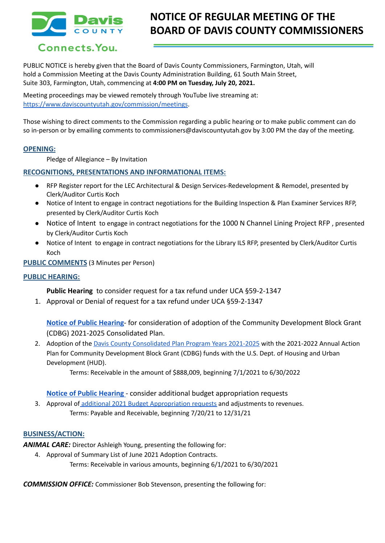

# **NOTICE OF REGULAR MEETING OF THE BOARD OF DAVIS COUNTY COMMISSIONERS**

## Connects. You.

PUBLIC NOTICE is hereby given that the Board of Davis County Commissioners, Farmington, Utah, will hold a Commission Meeting at the Davis County Administration Building, 61 South Main Street, Suite 303, Farmington, Utah, commencing at **4:00 PM on Tuesday, July 20, 2021.**

Meeting proceedings may be viewed remotely through YouTube live streaming at: [https://www.daviscountyutah.gov/commission/meetings.](https://www.daviscountyutah.gov/commission/meetings)

Those wishing to direct comments to the Commission regarding a public hearing or to make public comment can do so in-person or by emailing comments to commissioners@daviscountyutah.gov by 3:00 PM the day of the meeting.

## **OPENING:**

Pledge of Allegiance – By Invitation

## **RECOGNITIONS, PRESENTATIONS AND INFORMATIONAL ITEMS:**

- RFP Register report for the LEC Architectural & Design Services-Redevelopment & Remodel, presented by Clerk/Auditor Curtis Koch
- Notice of Intent to engage in contract negotiations for the Building Inspection & Plan Examiner Services RFP, presented by Clerk/Auditor Curtis Koch
- Notice of Intent to engage in contract negotiations for the 1000 N Channel Lining Project RFP , presented by Clerk/Auditor Curtis Koch
- Notice of Intent to engage in contract negotiations for the Library ILS RFP, presented by Clerk/Auditor Curtis Koch

**PUBLIC COMMENTS** (3 Minutes per Person)

## **PUBLIC HEARING:**

**Public Hearing** to consider request for a tax refund under UCA §59-2-1347

1. Approval or Denial of request for a tax refund under UCA §59-2-1347

**[Notice of Public Hearing](https://drive.google.com/file/d/1SoEO0cRYoNg29EPklWhZzv6Nr4o_3GCw/view?usp=sharing)**- for consideration of adoption of the Community Development Block Grant (CDBG) 2021-2025 Consolidated Plan.

2. Adoption of the Davis County [Consolidated](https://drive.google.com/file/d/1CtC6vhoPerKoPk9oukyuVKexeVs1_Bff/view?usp=sharing) Plan Program Years 2021-2025 with the 2021-2022 Annual Action Plan for Community Development Block Grant (CDBG) funds with the U.S. Dept. of Housing and Urban Development (HUD).

Terms: Receivable in the amount of \$888,009, beginning 7/1/2021 to 6/30/2022

## **[Notice of Public Hearing](https://drive.google.com/file/d/1bNUrdUG1Q16wmM9NTRpA0zUZH-kigErG/view?usp=sharing)** - consider additional budget appropriation requests

3. Approval of additional 2021 Budget [Appropriation](https://drive.google.com/file/d/1BXsiWLFaY37C-SBtA-X4CFxsRoZfobMm/view?usp=sharing) requests and adjustments to revenues. Terms: Payable and Receivable, beginning 7/20/21 to 12/31/21

## **BUSINESS/ACTION:**

*ANIMAL CARE:* Director Ashleigh Young, presenting the following for:

4. Approval of Summary List of June 2021 Adoption Contracts.

Terms: Receivable in various amounts, beginning 6/1/2021 to 6/30/2021

*COMMISSION OFFICE:* Commissioner Bob Stevenson, presenting the following for: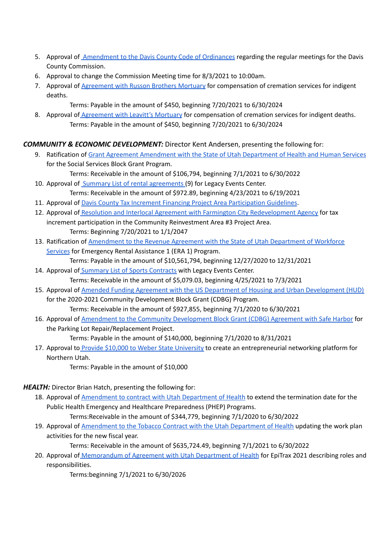- 5. Approval of [Amendment](https://drive.google.com/file/d/1Qi-RarDAf0ZS8a7hSc_lLPEosA6Zd25N/view?usp=sharing) to the Davis County Code of Ordinances regarding the regular meetings for the Davis County Commission.
- 6. Approval to change the Commission Meeting time for 8/3/2021 to 10:00am.
- 7. Approval of [Agreement](https://drive.google.com/file/d/1kbZnbEFNGIWQa5kw5TrlsiVUAGlFEMVa/view?usp=sharing) with Russon Brothers Mortuary for compensation of cremation services for indigent deaths.
	- Terms: Payable in the amount of \$450, beginning 7/20/2021 to 6/30/2024
- 8. Approval of **[Agreement](https://drive.google.com/file/d/1GXKBHC2Hxc0opfs1w8dVv_AkHftM4NWS/view?usp=sharing) with Leavitt's Mortuary** for compensation of cremation services for indigent deaths. Terms: Payable in the amount of \$450, beginning 7/20/2021 to 6/30/2024

## *COMMUNITY & ECONOMIC DEVELOPMENT:* Director Kent Andersen, presenting the following for:

- 9. Ratification of Grant Agreement [Amendment](https://drive.google.com/file/d/1Yx46we_815meWyP9Rhcl1nuulUJxKVO8/view?usp=sharing) with the State of Utah Department of Health and Human Services for the Social Services Block Grant Program. Terms: Receivable in the amount of \$106,794, beginning 7/1/2021 to 6/30/2022
- 10. Approval of Summary List of rental [agreements](https://drive.google.com/file/d/1HCv2JoPSDiJcGUhYF0MnBb2TKcP4ifM2/view?usp=sharing) (9) for Legacy Events Center. Terms: Receivable in the amount of \$972.89, beginning 4/23/2021 to 6/19/2021
- 11. Approval of Davis County Tax Increment Financing Project Area [Participation](https://drive.google.com/file/d/1YcZAcBHNvbX0_gDuxVk34W8CSg7ZzIwQ/view?usp=sharing) Guidelines.
- 12. Approval of Resolution and Interlocal Agreement with Farmington City [Redevelopment](https://drive.google.com/file/d/1-eknljB9Gz9dfPRLS0kRAYaM3sJ_yWnH/view?usp=sharing) Agency for tax increment participation in the Community Reinvestment Area #3 Project Area. Terms: Beginning 7/20/2021 to 1/1/2047
- 13. Ratification of [Amendment](https://drive.google.com/file/d/1uo4qkKkD3AR4g6GEoWh4TOhnFKr7S-bd/view?usp=sharing) to the Revenue Agreement with the State of Utah Department of Workforce [Services](https://drive.google.com/file/d/1uo4qkKkD3AR4g6GEoWh4TOhnFKr7S-bd/view?usp=sharing) for Emergency Rental Assistance 1 (ERA 1) Program. Terms: Payable in the amount of \$10,561,794, beginning 12/27/2020 to 12/31/2021
- 14. Approval of Summary List of Sports [Contracts](https://drive.google.com/file/d/1dlOvK7zElKXQmL4HSALTCxMeykKWu4Ww/view?usp=sharing) with Legacy Events Center. Terms: Receivable in the amount of \$5,079.03, beginning 4/25/2021 to 7/3/2021
- 15. Approval of Amended Funding Agreement with the US Department of Housing and Urban [Development](https://drive.google.com/file/d/1GOKrWgB4Nxm1oqp4vR0yggWG8jwdWdhs/view?usp=sharing) (HUD) for the 2020-2021 Community Development Block Grant (CDBG) Program. Terms: Receivable in the amount of \$927,855, beginning 7/1/2020 to 6/30/2021
- 16. Approval of Amendment to the Community [Development](https://drive.google.com/file/d/1oiXNZ0E5Ym3Yfl8-6H2YfyACtqy9Yn1K/view?usp=sharing) Block Grant (CDBG) Agreement with Safe Harbor for the Parking Lot Repair/Replacement Project.

Terms: Payable in the amount of \$140,000, beginning 7/1/2020 to 8/31/2021

17. Approval to Provide \$10,000 to Weber State [University](https://drive.google.com/file/d/1IFjXgjMg0-a3Gkkfd0NdCnLwypgxpvHU/view?usp=sharing) to create an entrepreneurial networking platform for Northern Utah.

Terms: Payable in the amount of \$10,000

*HEALTH:* Director Brian Hatch, presenting the following for:

18. Approval of [Amendment](https://drive.google.com/file/d/1zsPukhqGjlKg3iI28O64zE1h7YPD12G1/view?usp=sharing) to contract with Utah Department of Health to extend the termination date for the Public Health Emergency and Healthcare Preparedness (PHEP) Programs.

Terms:Receivable in the amount of \$344,779, beginning 7/1/2020 to 6/30/2022

19. Approval of [Amendment](https://drive.google.com/file/d/1SHu09THnkKGzzpLqewbQ5ornU3_ZgadO/view?usp=sharing) to the Tobacco Contract with the Utah Department of Health updating the work plan activities for the new fiscal year.

Terms: Receivable in the amount of \$635,724.49, beginning 7/1/2021 to 6/30/2022

20. Approval of [Memorandum](https://drive.google.com/file/d/1Y20AXiYAMoS4WHqfRqF3RWW6xAxr-kcq/view?usp=sharing) of Agreement with Utah Department of Health for EpiTrax 2021 describing roles and responsibilities.

Terms:beginning 7/1/2021 to 6/30/2026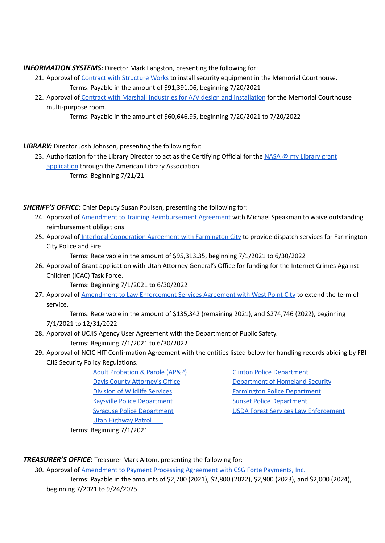## *INFORMATION SYSTEMS:* Director Mark Langston, presenting the following for:

- 21. Approval of Contract with [Structure](https://drive.google.com/file/d/14uSbIDxkXIUcabOHrxSgZMZMcRmIwLZ_/view?usp=sharing) Works to install security equipment in the Memorial Courthouse. Terms: Payable in the amount of \$91,391.06, beginning 7/20/2021
- 22. Approval of Contract with Marshall Industries for A/V design and [installation](https://drive.google.com/file/d/1cslNmVxYp7gBcV0w1uknE1hbSBegg7Wy/view?usp=sharing) for the Memorial Courthouse multi-purpose room.

```
Terms: Payable in the amount of $60,646.95, beginning 7/20/2021 to 7/20/2022
```
## *LIBRARY:* Director Josh Johnson, presenting the following for:

- 23. Authorization for the [Library](https://drive.google.com/file/d/1ysNHtybdti5BXwRaf7pE84kfaILkPGbW/view?usp=sharing) Director to act as the Certifying Official for the NASA @ my Library grant [application](https://drive.google.com/file/d/1ysNHtybdti5BXwRaf7pE84kfaILkPGbW/view?usp=sharing) through the American Library Association.
	- Terms: Beginning 7/21/21

*SHERIFF'S OFFICE:* Chief Deputy Susan Poulsen, presenting the following for:

- 24. Approval of **Amendment to Training [Reimbursement](https://drive.google.com/file/d/1Xxo4hNw7jNkJhDFSz45Xiu9FG6jZhkZ_/view?usp=sharing) Agreement** with Michael Speakman to waive outstanding reimbursement obligations.
- 25. Approval of Interlocal [Cooperation](https://drive.google.com/file/d/1gsZMDIsbJfy4b_1CX5fnkpB7hwg086iu/view?usp=sharing) Agreement with Farmington City to provide dispatch services for Farmington City Police and Fire.

Terms: Receivable in the amount of \$95,313.35, beginning 7/1/2021 to 6/30/2022

26. Approval of Grant application with Utah Attorney General's Office for funding for the Internet Crimes Against Children (ICAC) Task Force.

Terms: Beginning 7/1/2021 to 6/30/2022

27. Approval of Amendment to Law [Enforcement](https://drive.google.com/file/d/1NzvVuBFziF5zSejo1anQ0Bc8l1kXEJwI/view?usp=sharing) Services Agreement with West Point City to extend the term of service.

Terms: Receivable in the amount of \$135,342 (remaining 2021), and \$274,746 (2022), beginning 7/1/2021 to 12/31/2022

- 28. Approval of UCJIS Agency User Agreement with the Department of Public Safety. Terms: Beginning 7/1/2021 to 6/30/2022
- 29. Approval of NCIC HIT Confirmation Agreement with the entities listed below for handling records abiding by FBI CJIS Security Policy Regulations.

Adult [Probation](https://drive.google.com/file/d/1a1Z6S9VSme8SwMQvvnwYflaHef1KltKk/view?usp=sharing) & Parole (AP&P) Clinton Police [Department](https://drive.google.com/file/d/1iteHS5TTh0EVjln0pbv1QShRKEfQcD62/view?usp=sharing) **Division of Wildlife [Services](https://drive.google.com/file/d/1Kgu_8R2R9FbV44VFBqDwWYJ8zKBs-g3H/view?usp=sharing)** Farmington Police [Department](https://drive.google.com/file/d/1U3kgPhP0uuGWrip8QrUvpRlfpAZRDcHN/view?usp=sharing) Kaysville Police [Department](https://drive.google.com/file/d/1a1ml17NJAXfQCq51pzRUkgcdfc4zfUP-/view?usp=sharing) Sunset Police Department Utah [Highway](https://drive.google.com/file/d/1Y5yT7lkzgn8rwN7vLrvgo6nMzqwaeOAd/view?usp=sharing) Patrol

Davis County [Attorney's](https://drive.google.com/file/d/10UW4Y7O62dDf-CXJ5iHvusOI8KaGSqnQ/view?usp=sharing) Office **[Department](https://drive.google.com/file/d/1ZAJFdjSVDr68XHZc8U4vCw5Rk58q7dD3/view?usp=sharing) of Homeland Security** Syracuse Police [Department](https://drive.google.com/file/d/1uTI3LkRntEi8E8oefbtVGc4aCAYkBJJv/view?usp=sharing) USDA Forest Services Law [Enforcement](https://drive.google.com/file/d/181iSCeLR-MA8rYnJ5qui7HccWSaHnztw/view?usp=sharing)

Terms: Beginning 7/1/2021

## *TREASURER'S OFFICE:* Treasurer Mark Altom, presenting the following for:

30. Approval of [Amendment](https://drive.google.com/file/d/1rwGLSPXcSrqFjajmW7k-Wd_r_iaVHERL/view?usp=sharing) to Payment Processing Agreement with CSG Forte Payments, Inc.

Terms: Payable in the amounts of \$2,700 (2021), \$2,800 (2022), \$2,900 (2023), and \$2,000 (2024), beginning 7/2021 to 9/24/2025